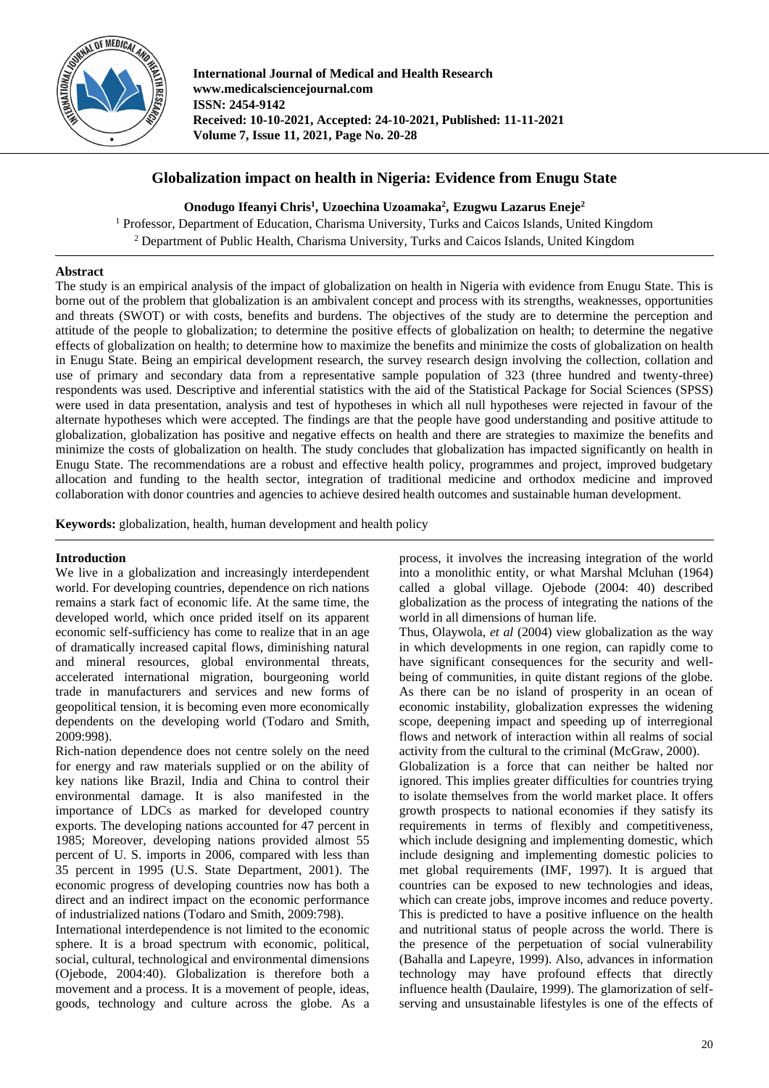

**International Journal of Medical and Health Research www.medicalsciencejournal.com ISSN: 2454-9142 Received: 10-10-2021, Accepted: 24-10-2021, Published: 11-11-2021 Volume 7, Issue 11, 2021, Page No. 20-28**

# **Globalization impact on health in Nigeria: Evidence from Enugu State**

**Onodugo Ifeanyi Chris<sup>1</sup> , Uzoechina Uzoamaka<sup>2</sup> , Ezugwu Lazarus Eneje<sup>2</sup>**

<sup>1</sup> Professor, Department of Education, Charisma University, Turks and Caicos Islands, United Kingdom <sup>2</sup> Department of Public Health, Charisma University, Turks and Caicos Islands, United Kingdom

# **Abstract**

The study is an empirical analysis of the impact of globalization on health in Nigeria with evidence from Enugu State. This is borne out of the problem that globalization is an ambivalent concept and process with its strengths, weaknesses, opportunities and threats (SWOT) or with costs, benefits and burdens. The objectives of the study are to determine the perception and attitude of the people to globalization; to determine the positive effects of globalization on health; to determine the negative effects of globalization on health; to determine how to maximize the benefits and minimize the costs of globalization on health in Enugu State. Being an empirical development research, the survey research design involving the collection, collation and use of primary and secondary data from a representative sample population of 323 (three hundred and twenty-three) respondents was used. Descriptive and inferential statistics with the aid of the Statistical Package for Social Sciences (SPSS) were used in data presentation, analysis and test of hypotheses in which all null hypotheses were rejected in favour of the alternate hypotheses which were accepted. The findings are that the people have good understanding and positive attitude to globalization, globalization has positive and negative effects on health and there are strategies to maximize the benefits and minimize the costs of globalization on health. The study concludes that globalization has impacted significantly on health in Enugu State. The recommendations are a robust and effective health policy, programmes and project, improved budgetary allocation and funding to the health sector, integration of traditional medicine and orthodox medicine and improved collaboration with donor countries and agencies to achieve desired health outcomes and sustainable human development.

**Keywords:** globalization, health, human development and health policy

### **Introduction**

We live in a globalization and increasingly interdependent world. For developing countries, dependence on rich nations remains a stark fact of economic life. At the same time, the developed world, which once prided itself on its apparent economic self-sufficiency has come to realize that in an age of dramatically increased capital flows, diminishing natural and mineral resources, global environmental threats, accelerated international migration, bourgeoning world trade in manufacturers and services and new forms of geopolitical tension, it is becoming even more economically dependents on the developing world (Todaro and Smith, 2009:998).

Rich-nation dependence does not centre solely on the need for energy and raw materials supplied or on the ability of key nations like Brazil, India and China to control their environmental damage. It is also manifested in the importance of LDCs as marked for developed country exports. The developing nations accounted for 47 percent in 1985; Moreover, developing nations provided almost 55 percent of U. S. imports in 2006, compared with less than 35 percent in 1995 (U.S. State Department, 2001). The economic progress of developing countries now has both a direct and an indirect impact on the economic performance of industrialized nations (Todaro and Smith, 2009:798).

International interdependence is not limited to the economic sphere. It is a broad spectrum with economic, political, social, cultural, technological and environmental dimensions (Ojebode, 2004:40). Globalization is therefore both a movement and a process. It is a movement of people, ideas, goods, technology and culture across the globe. As a

process, it involves the increasing integration of the world into a monolithic entity, or what Marshal Mcluhan (1964) called a global village. Ojebode (2004: 40) described globalization as the process of integrating the nations of the world in all dimensions of human life.

Thus, Olaywola, *et al* (2004) view globalization as the way in which developments in one region, can rapidly come to have significant consequences for the security and wellbeing of communities, in quite distant regions of the globe. As there can be no island of prosperity in an ocean of economic instability, globalization expresses the widening scope, deepening impact and speeding up of interregional flows and network of interaction within all realms of social activity from the cultural to the criminal (McGraw, 2000).

Globalization is a force that can neither be halted nor ignored. This implies greater difficulties for countries trying to isolate themselves from the world market place. It offers growth prospects to national economies if they satisfy its requirements in terms of flexibly and competitiveness, which include designing and implementing domestic, which include designing and implementing domestic policies to met global requirements (IMF, 1997). It is argued that countries can be exposed to new technologies and ideas, which can create jobs, improve incomes and reduce poverty. This is predicted to have a positive influence on the health and nutritional status of people across the world. There is the presence of the perpetuation of social vulnerability (Bahalla and Lapeyre, 1999). Also, advances in information technology may have profound effects that directly influence health (Daulaire, 1999). The glamorization of selfserving and unsustainable lifestyles is one of the effects of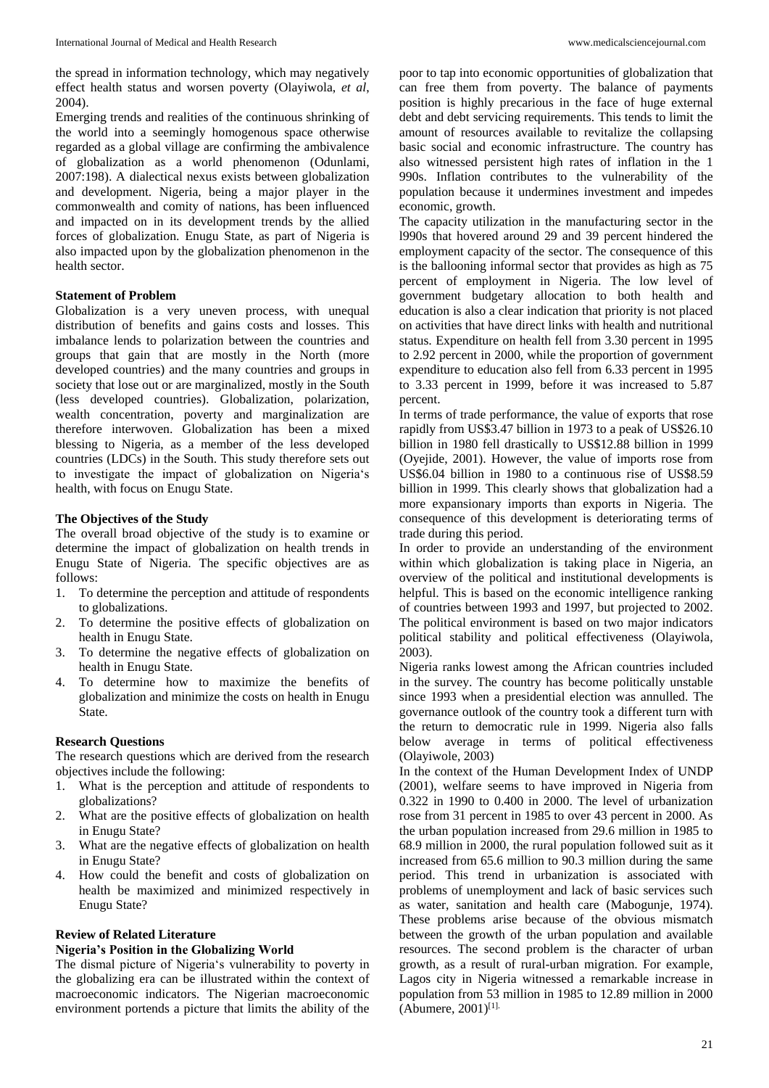the spread in information technology, which may negatively effect health status and worsen poverty (Olayiwola, *et al*, 2004).

Emerging trends and realities of the continuous shrinking of the world into a seemingly homogenous space otherwise regarded as a global village are confirming the ambivalence of globalization as a world phenomenon (Odunlami, 2007:198). A dialectical nexus exists between globalization and development. Nigeria, being a major player in the commonwealth and comity of nations, has been influenced and impacted on in its development trends by the allied forces of globalization. Enugu State, as part of Nigeria is also impacted upon by the globalization phenomenon in the health sector.

### **Statement of Problem**

Globalization is a very uneven process, with unequal distribution of benefits and gains costs and losses. This imbalance lends to polarization between the countries and groups that gain that are mostly in the North (more developed countries) and the many countries and groups in society that lose out or are marginalized, mostly in the South (less developed countries). Globalization, polarization, wealth concentration, poverty and marginalization are therefore interwoven. Globalization has been a mixed blessing to Nigeria, as a member of the less developed countries (LDCs) in the South. This study therefore sets out to investigate the impact of globalization on Nigeria's health, with focus on Enugu State.

### **The Objectives of the Study**

The overall broad objective of the study is to examine or determine the impact of globalization on health trends in Enugu State of Nigeria. The specific objectives are as follows:

- 1. To determine the perception and attitude of respondents to globalizations.
- 2. To determine the positive effects of globalization on health in Enugu State.
- 3. To determine the negative effects of globalization on health in Enugu State.
- 4. To determine how to maximize the benefits of globalization and minimize the costs on health in Enugu State.

### **Research Questions**

The research questions which are derived from the research objectives include the following:

- 1. What is the perception and attitude of respondents to globalizations?
- 2. What are the positive effects of globalization on health in Enugu State?
- 3. What are the negative effects of globalization on health in Enugu State?
- 4. How could the benefit and costs of globalization on health be maximized and minimized respectively in Enugu State?

### **Review of Related Literature**

## **Nigeria's Position in the Globalizing World**

The dismal picture of Nigeria's vulnerability to poverty in the globalizing era can be illustrated within the context of macroeconomic indicators. The Nigerian macroeconomic environment portends a picture that limits the ability of the

poor to tap into economic opportunities of globalization that can free them from poverty. The balance of payments position is highly precarious in the face of huge external debt and debt servicing requirements. This tends to limit the amount of resources available to revitalize the collapsing basic social and economic infrastructure. The country has also witnessed persistent high rates of inflation in the 1 990s. Inflation contributes to the vulnerability of the population because it undermines investment and impedes economic, growth.

The capacity utilization in the manufacturing sector in the l990s that hovered around 29 and 39 percent hindered the employment capacity of the sector. The consequence of this is the ballooning informal sector that provides as high as 75 percent of employment in Nigeria. The low level of government budgetary allocation to both health and education is also a clear indication that priority is not placed on activities that have direct links with health and nutritional status. Expenditure on health fell from 3.30 percent in 1995 to 2.92 percent in 2000, while the proportion of government expenditure to education also fell from 6.33 percent in 1995 to 3.33 percent in 1999, before it was increased to 5.87 percent.

In terms of trade performance, the value of exports that rose rapidly from US\$3.47 billion in 1973 to a peak of US\$26.10 billion in 1980 fell drastically to US\$12.88 billion in 1999 (Oyejide, 2001). However, the value of imports rose from US\$6.04 billion in 1980 to a continuous rise of US\$8.59 billion in 1999. This clearly shows that globalization had a more expansionary imports than exports in Nigeria. The consequence of this development is deteriorating terms of trade during this period.

In order to provide an understanding of the environment within which globalization is taking place in Nigeria, an overview of the political and institutional developments is helpful. This is based on the economic intelligence ranking of countries between 1993 and 1997, but projected to 2002. The political environment is based on two major indicators political stability and political effectiveness (Olayiwola, 2003).

Nigeria ranks lowest among the African countries included in the survey. The country has become politically unstable since 1993 when a presidential election was annulled. The governance outlook of the country took a different turn with the return to democratic rule in 1999. Nigeria also falls below average in terms of political effectiveness (Olayiwole, 2003)

In the context of the Human Development Index of UNDP (2001), welfare seems to have improved in Nigeria from 0.322 in 1990 to 0.400 in 2000. The level of urbanization rose from 31 percent in 1985 to over 43 percent in 2000. As the urban population increased from 29.6 million in 1985 to 68.9 million in 2000, the rural population followed suit as it increased from 65.6 million to 90.3 million during the same period. This trend in urbanization is associated with problems of unemployment and lack of basic services such as water, sanitation and health care (Mabogunje, 1974). These problems arise because of the obvious mismatch between the growth of the urban population and available resources. The second problem is the character of urban growth, as a result of rural-urban migration. For example, Lagos city in Nigeria witnessed a remarkable increase in population from 53 million in 1985 to 12.89 million in 2000  $(Ab$ umere,  $2001$ <sup>[1].</sup>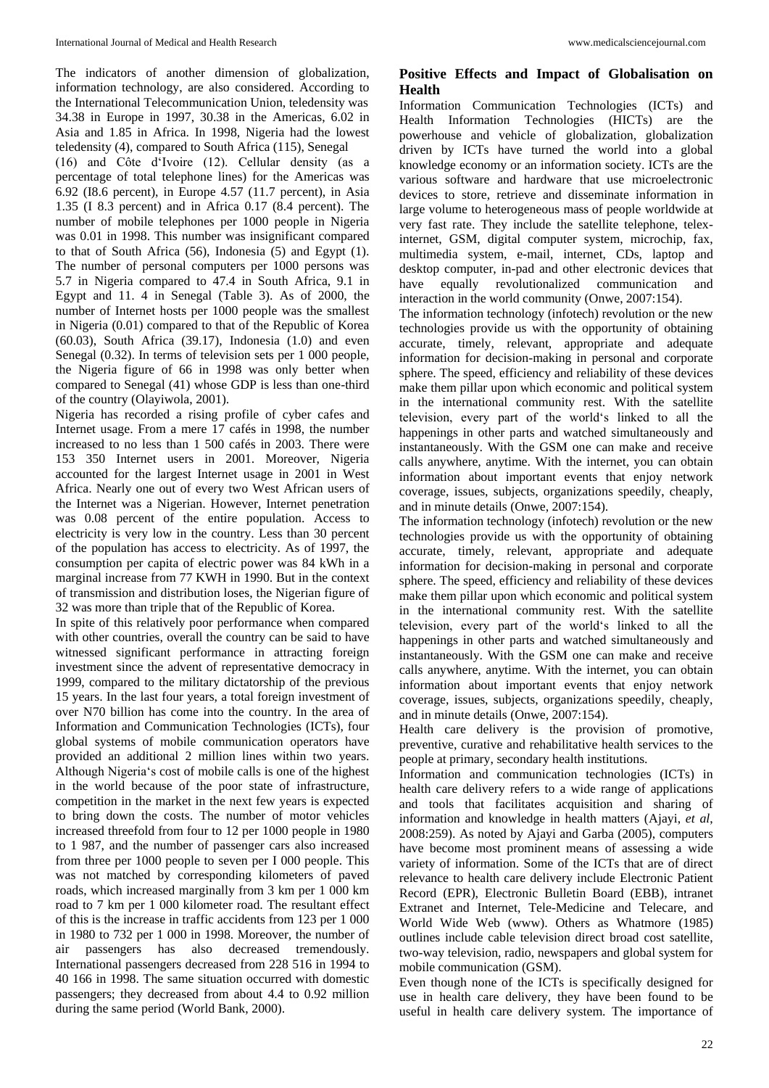The indicators of another dimension of globalization, information technology, are also considered. According to the International Telecommunication Union, teledensity was 34.38 in Europe in 1997, 30.38 in the Americas, 6.02 in Asia and 1.85 in Africa. In 1998, Nigeria had the lowest teledensity (4), compared to South Africa (115), Senegal

(16) and Côte d'Ivoire (12). Cellular density (as a percentage of total telephone lines) for the Americas was 6.92 (I8.6 percent), in Europe 4.57 (11.7 percent), in Asia 1.35 (I 8.3 percent) and in Africa 0.17 (8.4 percent). The number of mobile telephones per 1000 people in Nigeria was 0.01 in 1998. This number was insignificant compared to that of South Africa (56), Indonesia (5) and Egypt (1). The number of personal computers per 1000 persons was 5.7 in Nigeria compared to 47.4 in South Africa, 9.1 in Egypt and 11. 4 in Senegal (Table 3). As of 2000, the number of Internet hosts per 1000 people was the smallest in Nigeria (0.01) compared to that of the Republic of Korea (60.03), South Africa (39.17), Indonesia (1.0) and even Senegal (0.32). In terms of television sets per 1 000 people, the Nigeria figure of 66 in 1998 was only better when compared to Senegal (41) whose GDP is less than one-third of the country (Olayiwola, 2001).

Nigeria has recorded a rising profile of cyber cafes and Internet usage. From a mere 17 cafés in 1998, the number increased to no less than 1 500 cafés in 2003. There were 153 350 Internet users in 2001. Moreover, Nigeria accounted for the largest Internet usage in 2001 in West Africa. Nearly one out of every two West African users of the Internet was a Nigerian. However, Internet penetration was 0.08 percent of the entire population. Access to electricity is very low in the country. Less than 30 percent of the population has access to electricity. As of 1997, the consumption per capita of electric power was 84 kWh in a marginal increase from 77 KWH in 1990. But in the context of transmission and distribution loses, the Nigerian figure of 32 was more than triple that of the Republic of Korea.

In spite of this relatively poor performance when compared with other countries, overall the country can be said to have witnessed significant performance in attracting foreign investment since the advent of representative democracy in 1999, compared to the military dictatorship of the previous 15 years. In the last four years, a total foreign investment of over N70 billion has come into the country. In the area of Information and Communication Technologies (ICTs), four global systems of mobile communication operators have provided an additional 2 million lines within two years. Although Nigeria's cost of mobile calls is one of the highest in the world because of the poor state of infrastructure, competition in the market in the next few years is expected to bring down the costs. The number of motor vehicles increased threefold from four to 12 per 1000 people in 1980 to 1 987, and the number of passenger cars also increased from three per 1000 people to seven per I 000 people. This was not matched by corresponding kilometers of paved roads, which increased marginally from 3 km per 1 000 km road to 7 km per 1 000 kilometer road. The resultant effect of this is the increase in traffic accidents from 123 per 1 000 in 1980 to 732 per 1 000 in 1998. Moreover, the number of air passengers has also decreased tremendously. International passengers decreased from 228 516 in 1994 to 40 166 in 1998. The same situation occurred with domestic passengers; they decreased from about 4.4 to 0.92 million during the same period (World Bank, 2000).

# **Positive Effects and Impact of Globalisation on Health**

Information Communication Technologies (ICTs) and Health Information Technologies (HICTs) are the powerhouse and vehicle of globalization, globalization driven by ICTs have turned the world into a global knowledge economy or an information society. ICTs are the various software and hardware that use microelectronic devices to store, retrieve and disseminate information in large volume to heterogeneous mass of people worldwide at very fast rate. They include the satellite telephone, telexinternet, GSM, digital computer system, microchip, fax, multimedia system, e-mail, internet, CDs, laptop and desktop computer, in-pad and other electronic devices that have equally revolutionalized communication and interaction in the world community (Onwe, 2007:154).

The information technology (infotech) revolution or the new technologies provide us with the opportunity of obtaining accurate, timely, relevant, appropriate and adequate information for decision-making in personal and corporate sphere. The speed, efficiency and reliability of these devices make them pillar upon which economic and political system in the international community rest. With the satellite television, every part of the world's linked to all the happenings in other parts and watched simultaneously and instantaneously. With the GSM one can make and receive calls anywhere, anytime. With the internet, you can obtain information about important events that enjoy network coverage, issues, subjects, organizations speedily, cheaply, and in minute details (Onwe, 2007:154).

The information technology (infotech) revolution or the new technologies provide us with the opportunity of obtaining accurate, timely, relevant, appropriate and adequate information for decision-making in personal and corporate sphere. The speed, efficiency and reliability of these devices make them pillar upon which economic and political system in the international community rest. With the satellite television, every part of the world's linked to all the happenings in other parts and watched simultaneously and instantaneously. With the GSM one can make and receive calls anywhere, anytime. With the internet, you can obtain information about important events that enjoy network coverage, issues, subjects, organizations speedily, cheaply, and in minute details (Onwe, 2007:154).

Health care delivery is the provision of promotive, preventive, curative and rehabilitative health services to the people at primary, secondary health institutions.

Information and communication technologies (ICTs) in health care delivery refers to a wide range of applications and tools that facilitates acquisition and sharing of information and knowledge in health matters (Ajayi, *et al*, 2008:259). As noted by Ajayi and Garba (2005), computers have become most prominent means of assessing a wide variety of information. Some of the ICTs that are of direct relevance to health care delivery include Electronic Patient Record (EPR), Electronic Bulletin Board (EBB), intranet Extranet and Internet, Tele-Medicine and Telecare, and World Wide Web (www). Others as Whatmore (1985) outlines include cable television direct broad cost satellite, two-way television, radio, newspapers and global system for mobile communication (GSM).

Even though none of the ICTs is specifically designed for use in health care delivery, they have been found to be useful in health care delivery system. The importance of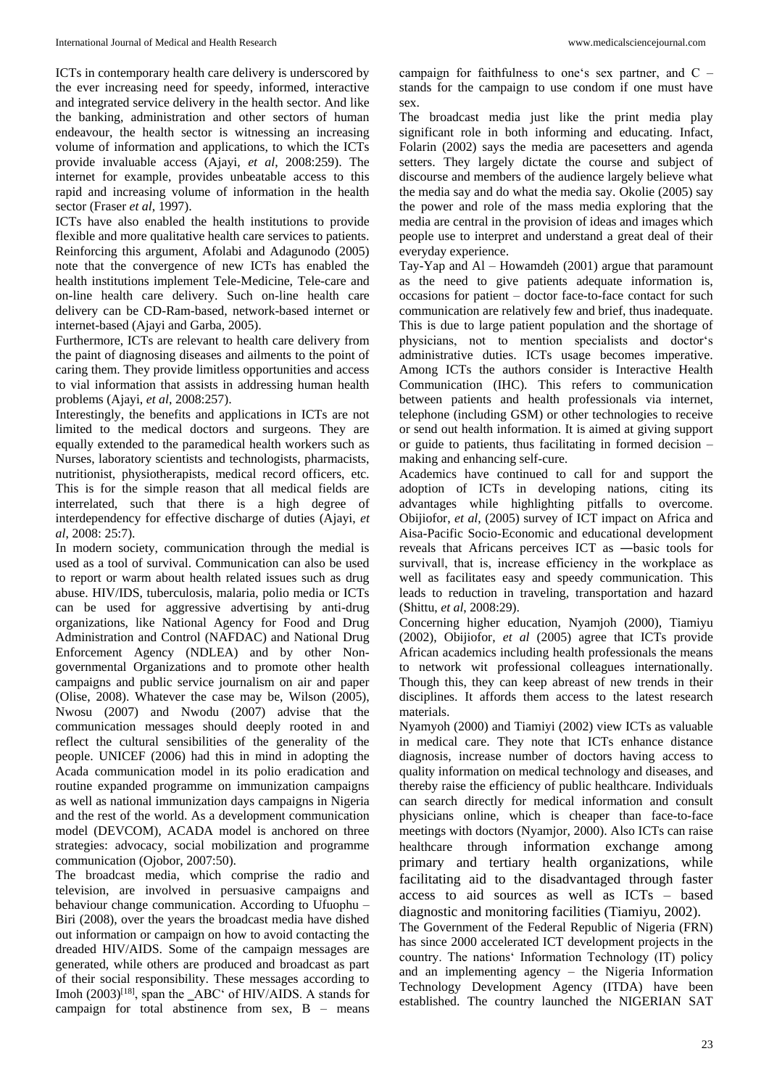ICTs in contemporary health care delivery is underscored by the ever increasing need for speedy, informed, interactive and integrated service delivery in the health sector. And like the banking, administration and other sectors of human endeavour, the health sector is witnessing an increasing volume of information and applications, to which the ICTs provide invaluable access (Ajayi, *et al*, 2008:259). The internet for example, provides unbeatable access to this rapid and increasing volume of information in the health sector (Fraser *et al*, 1997).

ICTs have also enabled the health institutions to provide flexible and more qualitative health care services to patients. Reinforcing this argument, Afolabi and Adagunodo (2005) note that the convergence of new ICTs has enabled the health institutions implement Tele-Medicine, Tele-care and on-line health care delivery. Such on-line health care delivery can be CD-Ram-based, network-based internet or internet-based (Ajayi and Garba, 2005).

Furthermore, ICTs are relevant to health care delivery from the paint of diagnosing diseases and ailments to the point of caring them. They provide limitless opportunities and access to vial information that assists in addressing human health problems (Ajayi, *et al*, 2008:257).

Interestingly, the benefits and applications in ICTs are not limited to the medical doctors and surgeons. They are equally extended to the paramedical health workers such as Nurses, laboratory scientists and technologists, pharmacists, nutritionist, physiotherapists, medical record officers, etc. This is for the simple reason that all medical fields are interrelated, such that there is a high degree of interdependency for effective discharge of duties (Ajayi, *et al*, 2008: 25:7).

In modern society, communication through the medial is used as a tool of survival. Communication can also be used to report or warm about health related issues such as drug abuse. HIV/IDS, tuberculosis, malaria, polio media or ICTs can be used for aggressive advertising by anti-drug organizations, like National Agency for Food and Drug Administration and Control (NAFDAC) and National Drug Enforcement Agency (NDLEA) and by other Nongovernmental Organizations and to promote other health campaigns and public service journalism on air and paper (Olise, 2008). Whatever the case may be, Wilson (2005), Nwosu (2007) and Nwodu (2007) advise that the communication messages should deeply rooted in and reflect the cultural sensibilities of the generality of the people. UNICEF (2006) had this in mind in adopting the Acada communication model in its polio eradication and routine expanded programme on immunization campaigns as well as national immunization days campaigns in Nigeria and the rest of the world. As a development communication model (DEVCOM), ACADA model is anchored on three strategies: advocacy, social mobilization and programme communication (Ojobor, 2007:50).

The broadcast media, which comprise the radio and television, are involved in persuasive campaigns and behaviour change communication. According to Ufuophu – Biri (2008), over the years the broadcast media have dished out information or campaign on how to avoid contacting the dreaded HIV/AIDS. Some of the campaign messages are generated, while others are produced and broadcast as part of their social responsibility. These messages according to Imoh (2003)<sup>[18]</sup>, span the \_ABC' of HIV/AIDS. A stands for campaign for total abstinence from sex,  $B$  – means

campaign for faithfulness to one's sex partner, and C – stands for the campaign to use condom if one must have sex.

The broadcast media just like the print media play significant role in both informing and educating. Infact, Folarin (2002) says the media are pacesetters and agenda setters. They largely dictate the course and subject of discourse and members of the audience largely believe what the media say and do what the media say. Okolie (2005) say the power and role of the mass media exploring that the media are central in the provision of ideas and images which people use to interpret and understand a great deal of their everyday experience.

Tay-Yap and  $AI - Howard$  (2001) argue that paramount as the need to give patients adequate information is, occasions for patient – doctor face-to-face contact for such communication are relatively few and brief, thus inadequate. This is due to large patient population and the shortage of physicians, not to mention specialists and doctor's administrative duties. ICTs usage becomes imperative. Among ICTs the authors consider is Interactive Health Communication (IHC). This refers to communication between patients and health professionals via internet, telephone (including GSM) or other technologies to receive or send out health information. It is aimed at giving support or guide to patients, thus facilitating in formed decision – making and enhancing self-cure.

Academics have continued to call for and support the adoption of ICTs in developing nations, citing its advantages while highlighting pitfalls to overcome. Obijiofor, *et al*, (2005) survey of ICT impact on Africa and Aisa-Pacific Socio-Economic and educational development reveals that Africans perceives ICT as ―basic tools for survival‖, that is, increase efficiency in the workplace as well as facilitates easy and speedy communication. This leads to reduction in traveling, transportation and hazard (Shittu, *et al*, 2008:29).

Concerning higher education, Nyamjoh (2000), Tiamiyu (2002), Obijiofor, *et al* (2005) agree that ICTs provide African academics including health professionals the means to network wit professional colleagues internationally. Though this, they can keep abreast of new trends in their disciplines. It affords them access to the latest research materials.

Nyamyoh (2000) and Tiamiyi (2002) view ICTs as valuable in medical care. They note that ICTs enhance distance diagnosis, increase number of doctors having access to quality information on medical technology and diseases, and thereby raise the efficiency of public healthcare. Individuals can search directly for medical information and consult physicians online, which is cheaper than face-to-face meetings with doctors (Nyamjor, 2000). Also ICTs can raise healthcare through information exchange among primary and tertiary health organizations, while facilitating aid to the disadvantaged through faster access to aid sources as well as ICTs – based diagnostic and monitoring facilities (Tiamiyu, 2002).

The Government of the Federal Republic of Nigeria (FRN) has since 2000 accelerated ICT development projects in the country. The nations' Information Technology (IT) policy and an implementing agency – the Nigeria Information Technology Development Agency (ITDA) have been established. The country launched the NIGERIAN SAT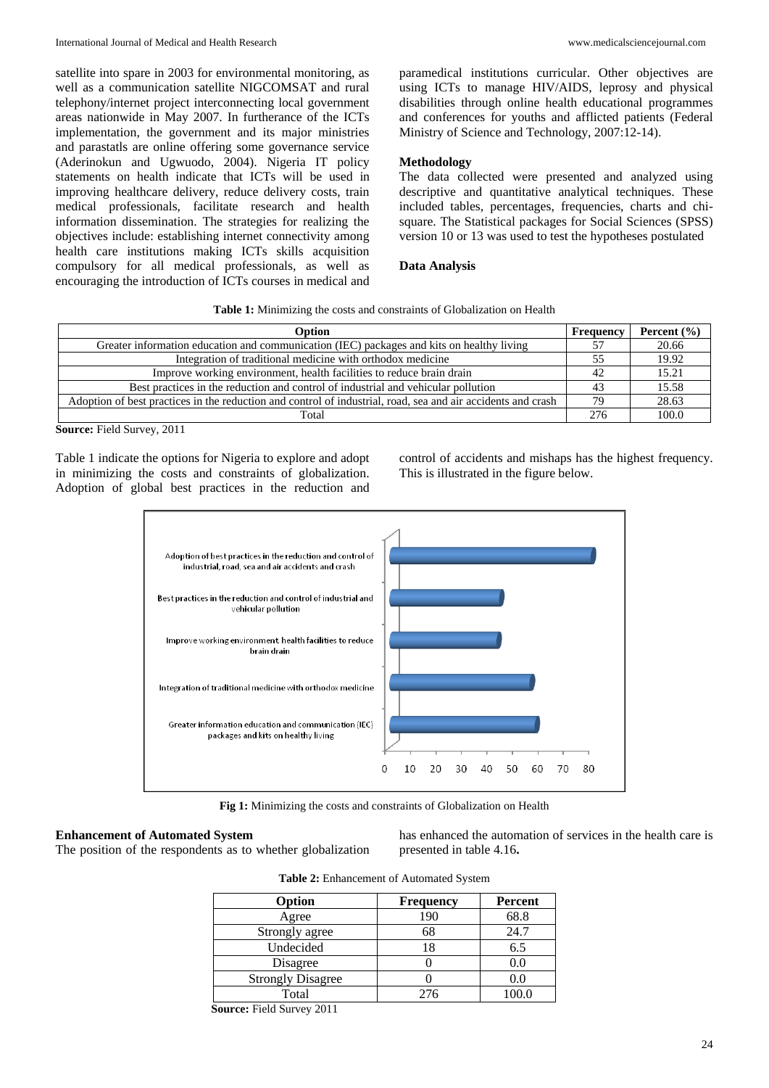satellite into spare in 2003 for environmental monitoring, as well as a communication satellite NIGCOMSAT and rural telephony/internet project interconnecting local government areas nationwide in May 2007. In furtherance of the ICTs implementation, the government and its major ministries and parastatls are online offering some governance service (Aderinokun and Ugwuodo, 2004). Nigeria IT policy statements on health indicate that ICTs will be used in improving healthcare delivery, reduce delivery costs, train medical professionals, facilitate research and health information dissemination. The strategies for realizing the objectives include: establishing internet connectivity among health care institutions making ICTs skills acquisition compulsory for all medical professionals, as well as encouraging the introduction of ICTs courses in medical and

paramedical institutions curricular. Other objectives are using ICTs to manage HIV/AIDS, leprosy and physical disabilities through online health educational programmes and conferences for youths and afflicted patients (Federal Ministry of Science and Technology, 2007:12-14).

### **Methodology**

The data collected were presented and analyzed using descriptive and quantitative analytical techniques. These included tables, percentages, frequencies, charts and chisquare. The Statistical packages for Social Sciences (SPSS) version 10 or 13 was used to test the hypotheses postulated

### **Data Analysis**

**Table 1:** Minimizing the costs and constraints of Globalization on Health

| Option                                                                                                       | Frequency | Percent $(\% )$ |
|--------------------------------------------------------------------------------------------------------------|-----------|-----------------|
| Greater information education and communication (IEC) packages and kits on healthy living                    |           | 20.66           |
| Integration of traditional medicine with orthodox medicine                                                   | 55        | 19.92           |
| Improve working environment, health facilities to reduce brain drain                                         | 42        | 15.21           |
| Best practices in the reduction and control of industrial and vehicular pollution                            | 43        | 15.58           |
| Adoption of best practices in the reduction and control of industrial, road, sea and air accidents and crash | 79        | 28.63           |
| Total                                                                                                        | 276       | 100.0           |

**Source:** Field Survey, 2011

Table 1 indicate the options for Nigeria to explore and adopt in minimizing the costs and constraints of globalization. Adoption of global best practices in the reduction and control of accidents and mishaps has the highest frequency. This is illustrated in the figure below.



**Fig 1:** Minimizing the costs and constraints of Globalization on Health

### **Enhancement of Automated System**

The position of the respondents as to whether globalization

has enhanced the automation of services in the health care is presented in table 4.16**.**

|  | Table 2: Enhancement of Automated System |  |  |
|--|------------------------------------------|--|--|
|--|------------------------------------------|--|--|

| Option                   | <b>Frequency</b> | Percent |
|--------------------------|------------------|---------|
| Agree                    | 190              | 68.8    |
| Strongly agree           | 68               | 24.7    |
| Undecided                | 18               | 6.5     |
| Disagree                 |                  | 0.0     |
| <b>Strongly Disagree</b> |                  | (0.0)   |
| Total                    | 276              | 100 0   |
|                          |                  |         |

**Source:** Field Survey 2011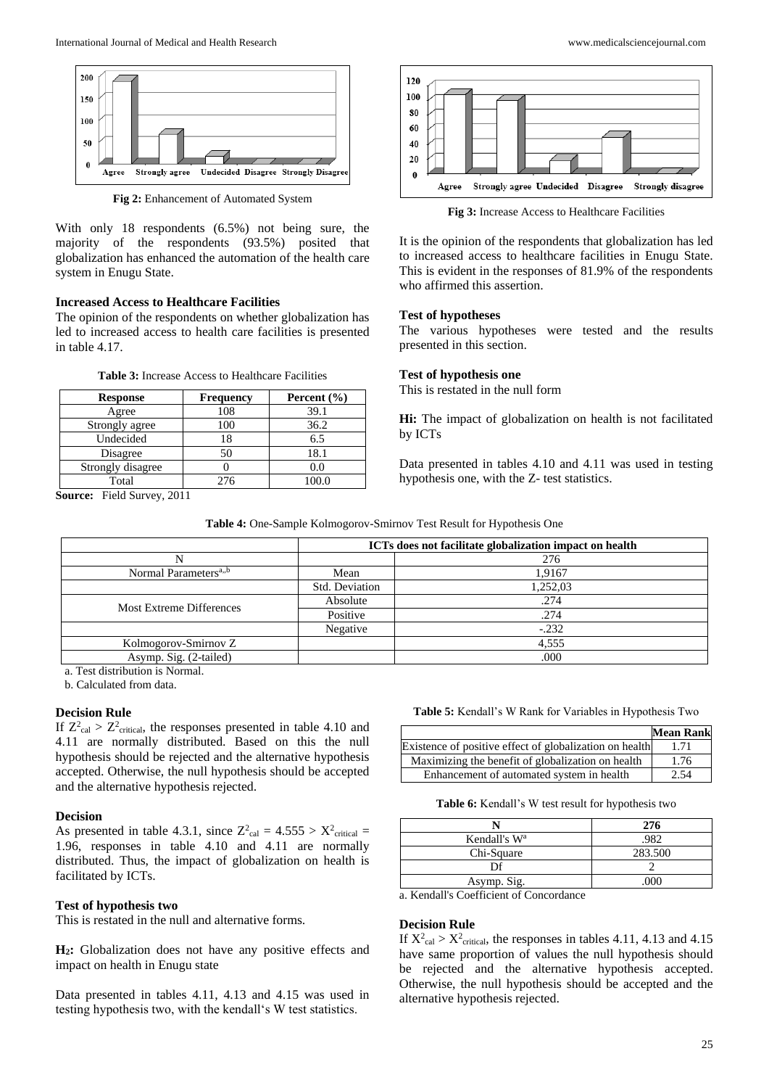

**Fig 2:** Enhancement of Automated System

With only 18 respondents (6.5%) not being sure, the majority of the respondents (93.5%) posited that globalization has enhanced the automation of the health care system in Enugu State.

## **Increased Access to Healthcare Facilities**

The opinion of the respondents on whether globalization has led to increased access to health care facilities is presented in table 4.17.

**Table 3:** Increase Access to Healthcare Facilities

| <b>Response</b>   | <b>Frequency</b> | Percent $(\% )$ |
|-------------------|------------------|-----------------|
| Agree             | 108              | 39.1            |
| Strongly agree    | 100              | 36.2            |
| Undecided         | 18               | 6.5             |
| Disagree          | 50               | 18.1            |
| Strongly disagree |                  | 0.0             |
| Total             | 276              | 100.0           |

**Source:** Field Survey, 2011



**Fig 3:** Increase Access to Healthcare Facilities

It is the opinion of the respondents that globalization has led to increased access to healthcare facilities in Enugu State. This is evident in the responses of 81.9% of the respondents who affirmed this assertion.

#### **Test of hypotheses**

The various hypotheses were tested and the results presented in this section.

### **Test of hypothesis one**

This is restated in the null form

**Hi:** The impact of globalization on health is not facilitated by ICTs

Data presented in tables 4.10 and 4.11 was used in testing hypothesis one, with the Z- test statistics.

| Table 4: One-Sample Kolmogorov-Smirnov Test Result for Hypothesis One |
|-----------------------------------------------------------------------|
|-----------------------------------------------------------------------|

|                                              |                | ICTs does not facilitate globalization impact on health |
|----------------------------------------------|----------------|---------------------------------------------------------|
|                                              |                | 276                                                     |
| Normal Parameters <sup>a<sub>,,b</sub></sup> | Mean           | 1,9167                                                  |
|                                              | Std. Deviation | 1,252,03                                                |
| Most Extreme Differences                     | Absolute       | .274                                                    |
|                                              | Positive       | .274                                                    |
|                                              | Negative       | $-.232$                                                 |
| Kolmogorov-Smirnov Z                         |                | 4,555                                                   |
| Asymp. Sig. (2-tailed)                       |                | .000                                                    |

a. Test distribution is Normal.

b. Calculated from data.

# **Decision Rule**

If  $Z^2_{\text{cal}} > Z^2_{\text{critical}}$ , the responses presented in table 4.10 and 4.11 are normally distributed. Based on this the null hypothesis should be rejected and the alternative hypothesis accepted. Otherwise, the null hypothesis should be accepted and the alternative hypothesis rejected.

#### **Decision**

As presented in table 4.3.1, since  $Z_{\text{cal}}^2 = 4.555 > X_{\text{critical}}^2 =$ 1.96, responses in table 4.10 and 4.11 are normally distributed. Thus, the impact of globalization on health is facilitated by ICTs.

### **Test of hypothesis two**

This is restated in the null and alternative forms.

**H2:** Globalization does not have any positive effects and impact on health in Enugu state

Data presented in tables 4.11, 4.13 and 4.15 was used in testing hypothesis two, with the kendall's W test statistics.

**Table 5:** Kendall's W Rank for Variables in Hypothesis Two

|                                                         | <b>Mean Rank</b> |
|---------------------------------------------------------|------------------|
| Existence of positive effect of globalization on health | 1.71             |
| Maximizing the benefit of globalization on health       | 1.76             |
| Enhancement of automated system in health               | 2.54             |

**Table 6:** Kendall's W test result for hypothesis two

|                          | 276     |
|--------------------------|---------|
| Kendall's W <sup>a</sup> | 982     |
| Chi-Square               | 283.500 |
|                          |         |
| Asymp. Sig.              |         |

a. Kendall's Coefficient of Concordance

## **Decision Rule**

If  $X^2_{\text{cal}} > X^2_{\text{critical}}$ , the responses in tables 4.11, 4.13 and 4.15 have same proportion of values the null hypothesis should be rejected and the alternative hypothesis accepted. Otherwise, the null hypothesis should be accepted and the alternative hypothesis rejected.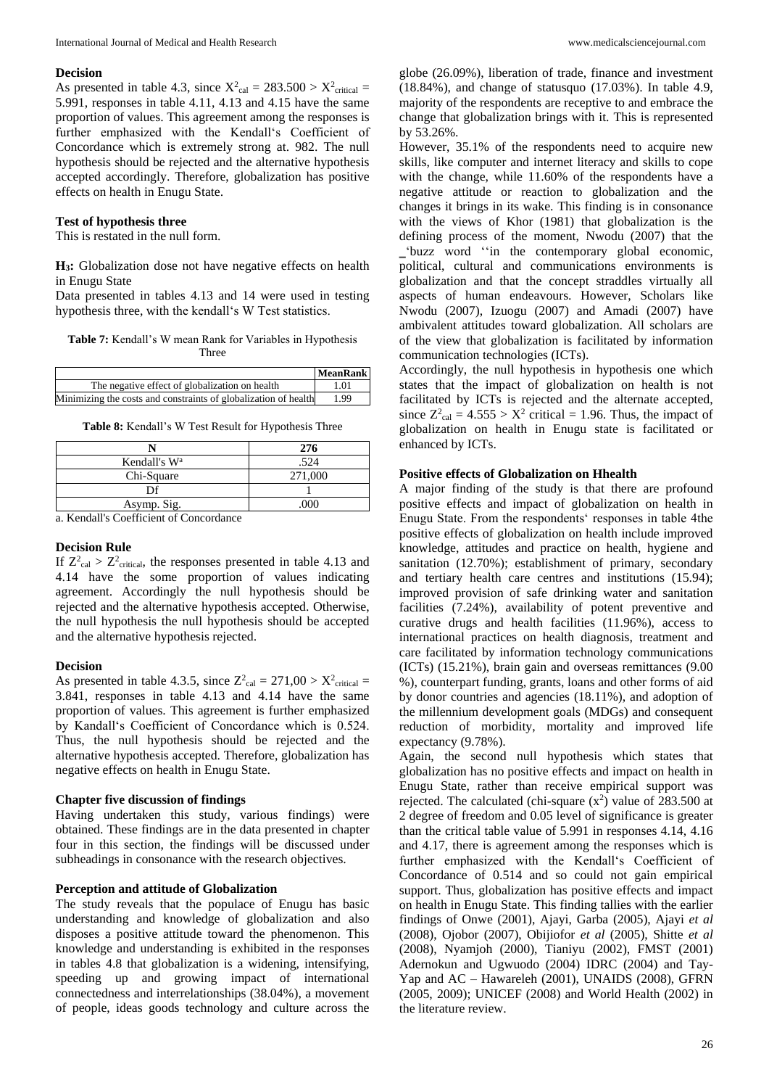#### **Decision**

As presented in table 4.3, since  $X^2_{\text{cal}} = 283.500 > X^2_{\text{critical}} =$ 5.991, responses in table 4.11, 4.13 and 4.15 have the same proportion of values. This agreement among the responses is further emphasized with the Kendall's Coefficient of Concordance which is extremely strong at. 982. The null hypothesis should be rejected and the alternative hypothesis accepted accordingly. Therefore, globalization has positive effects on health in Enugu State.

#### **Test of hypothesis three**

This is restated in the null form.

**H3:** Globalization dose not have negative effects on health in Enugu State

Data presented in tables 4.13 and 14 were used in testing hypothesis three, with the kendall's W Test statistics.

**Table 7:** Kendall's W mean Rank for Variables in Hypothesis Three

|                                                                 | <b>MeanRank</b> |
|-----------------------------------------------------------------|-----------------|
| The negative effect of globalization on health                  | 1.01            |
| Minimizing the costs and constraints of globalization of health | 1.99            |

**Table 8:** Kendall's W Test Result for Hypothesis Three

|                          | 276     |
|--------------------------|---------|
| Kendall's W <sup>a</sup> | .524    |
| Chi-Square               | 271,000 |
|                          |         |
| Asymp. Sig.              | .000    |

a. Kendall's Coefficient of Concordance

### **Decision Rule**

If  $Z_{\text{cal}}^2 > Z_{\text{critical}}^2$ , the responses presented in table 4.13 and 4.14 have the some proportion of values indicating agreement. Accordingly the null hypothesis should be rejected and the alternative hypothesis accepted. Otherwise, the null hypothesis the null hypothesis should be accepted and the alternative hypothesis rejected.

### **Decision**

As presented in table 4.3.5, since  $Z_{\text{cal}}^2 = 271,00 > X_{\text{critical}}^2 =$ 3.841, responses in table 4.13 and 4.14 have the same proportion of values. This agreement is further emphasized by Kandall's Coefficient of Concordance which is 0.524. Thus, the null hypothesis should be rejected and the alternative hypothesis accepted. Therefore, globalization has negative effects on health in Enugu State.

### **Chapter five discussion of findings**

Having undertaken this study, various findings) were obtained. These findings are in the data presented in chapter four in this section, the findings will be discussed under subheadings in consonance with the research objectives.

### **Perception and attitude of Globalization**

The study reveals that the populace of Enugu has basic understanding and knowledge of globalization and also disposes a positive attitude toward the phenomenon. This knowledge and understanding is exhibited in the responses in tables 4.8 that globalization is a widening, intensifying, speeding up and growing impact of international connectedness and interrelationships (38.04%), a movement of people, ideas goods technology and culture across the

globe (26.09%), liberation of trade, finance and investment (18.84%), and change of statusquo (17.03%). In table 4.9, majority of the respondents are receptive to and embrace the change that globalization brings with it. This is represented by 53.26%.

However, 35.1% of the respondents need to acquire new skills, like computer and internet literacy and skills to cope with the change, while 11.60% of the respondents have a negative attitude or reaction to globalization and the changes it brings in its wake. This finding is in consonance with the views of Khor (1981) that globalization is the defining process of the moment, Nwodu (2007) that the ‗'buzz word ''in the contemporary global economic, political, cultural and communications environments is globalization and that the concept straddles virtually all aspects of human endeavours. However, Scholars like Nwodu (2007), Izuogu (2007) and Amadi (2007) have ambivalent attitudes toward globalization. All scholars are of the view that globalization is facilitated by information communication technologies (ICTs).

Accordingly, the null hypothesis in hypothesis one which states that the impact of globalization on health is not facilitated by ICTs is rejected and the alternate accepted, since  $Z^2_{\text{cal}} = 4.555 > X^2$  critical = 1.96. Thus, the impact of globalization on health in Enugu state is facilitated or enhanced by ICTs.

### **Positive effects of Globalization on Hhealth**

A major finding of the study is that there are profound positive effects and impact of globalization on health in Enugu State. From the respondents' responses in table 4the positive effects of globalization on health include improved knowledge, attitudes and practice on health, hygiene and sanitation (12.70%); establishment of primary, secondary and tertiary health care centres and institutions (15.94); improved provision of safe drinking water and sanitation facilities (7.24%), availability of potent preventive and curative drugs and health facilities (11.96%), access to international practices on health diagnosis, treatment and care facilitated by information technology communications (ICTs) (15.21%), brain gain and overseas remittances (9.00 %), counterpart funding, grants, loans and other forms of aid by donor countries and agencies (18.11%), and adoption of the millennium development goals (MDGs) and consequent reduction of morbidity, mortality and improved life expectancy (9.78%).

Again, the second null hypothesis which states that globalization has no positive effects and impact on health in Enugu State, rather than receive empirical support was rejected. The calculated (chi-square  $(x^2)$  value of 283.500 at 2 degree of freedom and 0.05 level of significance is greater than the critical table value of 5.991 in responses 4.14, 4.16 and 4.17, there is agreement among the responses which is further emphasized with the Kendall's Coefficient of Concordance of 0.514 and so could not gain empirical support. Thus, globalization has positive effects and impact on health in Enugu State. This finding tallies with the earlier findings of Onwe (2001), Ajayi, Garba (2005), Ajayi *et al* (2008), Ojobor (2007), Obijiofor *et al* (2005), Shitte *et al* (2008), Nyamjoh (2000), Tianiyu (2002), FMST (2001) Adernokun and Ugwuodo (2004) IDRC (2004) and Tay-Yap and AC – Hawareleh (2001), UNAIDS (2008), GFRN (2005, 2009); UNICEF (2008) and World Health (2002) in the literature review.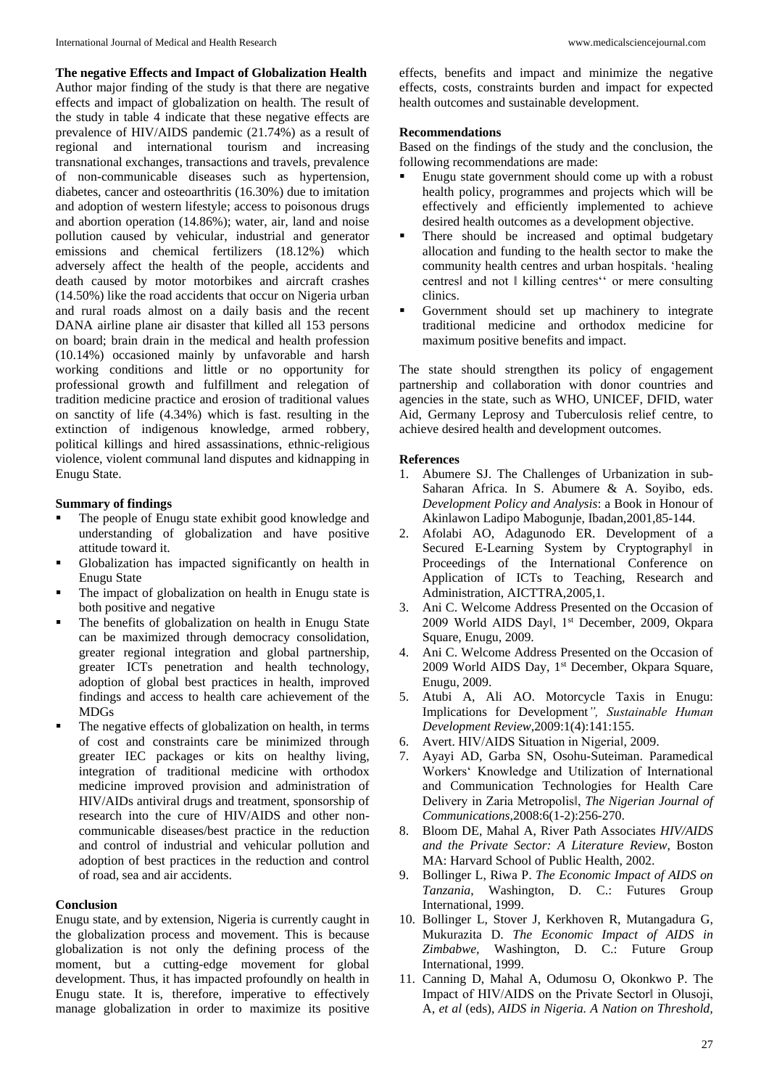**The negative Effects and Impact of Globalization Health** Author major finding of the study is that there are negative effects and impact of globalization on health. The result of the study in table 4 indicate that these negative effects are prevalence of HIV/AIDS pandemic (21.74%) as a result of regional and international tourism and increasing transnational exchanges, transactions and travels, prevalence of non-communicable diseases such as hypertension, diabetes, cancer and osteoarthritis (16.30%) due to imitation and adoption of western lifestyle; access to poisonous drugs and abortion operation (14.86%); water, air, land and noise pollution caused by vehicular, industrial and generator emissions and chemical fertilizers (18.12%) which adversely affect the health of the people, accidents and death caused by motor motorbikes and aircraft crashes (14.50%) like the road accidents that occur on Nigeria urban and rural roads almost on a daily basis and the recent DANA airline plane air disaster that killed all 153 persons on board; brain drain in the medical and health profession (10.14%) occasioned mainly by unfavorable and harsh working conditions and little or no opportunity for professional growth and fulfillment and relegation of tradition medicine practice and erosion of traditional values on sanctity of life (4.34%) which is fast. resulting in the extinction of indigenous knowledge, armed robbery, political killings and hired assassinations, ethnic-religious violence, violent communal land disputes and kidnapping in Enugu State.

# **Summary of findings**

- The people of Enugu state exhibit good knowledge and understanding of globalization and have positive attitude toward it.
- Globalization has impacted significantly on health in Enugu State
- The impact of globalization on health in Enugu state is both positive and negative
- The benefits of globalization on health in Enugu State can be maximized through democracy consolidation, greater regional integration and global partnership, greater ICTs penetration and health technology, adoption of global best practices in health, improved findings and access to health care achievement of the MDGs
- The negative effects of globalization on health, in terms of cost and constraints care be minimized through greater IEC packages or kits on healthy living, integration of traditional medicine with orthodox medicine improved provision and administration of HIV/AIDs antiviral drugs and treatment, sponsorship of research into the cure of HIV/AIDS and other noncommunicable diseases/best practice in the reduction and control of industrial and vehicular pollution and adoption of best practices in the reduction and control of road, sea and air accidents.

# **Conclusion**

Enugu state, and by extension, Nigeria is currently caught in the globalization process and movement. This is because globalization is not only the defining process of the moment, but a cutting-edge movement for global development. Thus, it has impacted profoundly on health in Enugu state. It is, therefore, imperative to effectively manage globalization in order to maximize its positive

effects, benefits and impact and minimize the negative effects, costs, constraints burden and impact for expected health outcomes and sustainable development.

## **Recommendations**

Based on the findings of the study and the conclusion, the following recommendations are made:

- Enugu state government should come up with a robust health policy, programmes and projects which will be effectively and efficiently implemented to achieve desired health outcomes as a development objective.
- There should be increased and optimal budgetary allocation and funding to the health sector to make the community health centres and urban hospitals. 'healing centres‖ and not ‖ killing centres'' or mere consulting clinics.
- Government should set up machinery to integrate traditional medicine and orthodox medicine for maximum positive benefits and impact.

The state should strengthen its policy of engagement partnership and collaboration with donor countries and agencies in the state, such as WHO, UNICEF, DFID, water Aid, Germany Leprosy and Tuberculosis relief centre, to achieve desired health and development outcomes.

# **References**

- 1. Abumere SJ. The Challenges of Urbanization in sub-Saharan Africa. In S. Abumere & A. Soyibo, eds. *Development Policy and Analysis*: a Book in Honour of Akinlawon Ladipo Mabogunje, Ibadan,2001,85-144.
- 2. Afolabi AO, Adagunodo ER. Development of a Secured E-Learning System by Cryptography in Proceedings of the International Conference on Application of ICTs to Teaching, Research and Administration, AICTTRA,2005,1.
- 3. Ani C. Welcome Address Presented on the Occasion of 2009 World AIDS Dayl, 1st December, 2009, Okpara Square, Enugu, 2009.
- 4. Ani C. Welcome Address Presented on the Occasion of 2009 World AIDS Day, 1<sup>st</sup> December, Okpara Square, Enugu, 2009.
- 5. Atubi A, Ali AO. Motorcycle Taxis in Enugu: Implications for Development*", Sustainable Human Development Review*,2009:1(4):141:155.
- 6. Avert. HIV/AIDS Situation in Nigeria‖, 2009.
- 7. Ayayi AD, Garba SN, Osohu-Suteiman. Paramedical Workers' Knowledge and Utilization of International and Communication Technologies for Health Care Delivery in Zaria Metropolis‖, *The Nigerian Journal of Communications,*2008:6(1-2):256-270.
- 8. Bloom DE, Mahal A, River Path Associates *HIV/AIDS and the Private Sector: A Literature Review*, Boston MA: Harvard School of Public Health, 2002.
- 9. Bollinger L, Riwa P. *The Economic Impact of AIDS on Tanzania*, Washington, D. C.: Futures Group International, 1999.
- 10. Bollinger L, Stover J, Kerkhoven R, Mutangadura G, Mukurazita D. *The Economic Impact of AIDS in Zimbabwe,* Washington, D. C.: Future Group International, 1999.
- 11. Canning D, Mahal A, Odumosu O, Okonkwo P. The Impact of HIV/AIDS on the Private Sector‖ in Olusoji, A, *et al* (eds), *AIDS in Nigeria. A Nation on Threshold,*